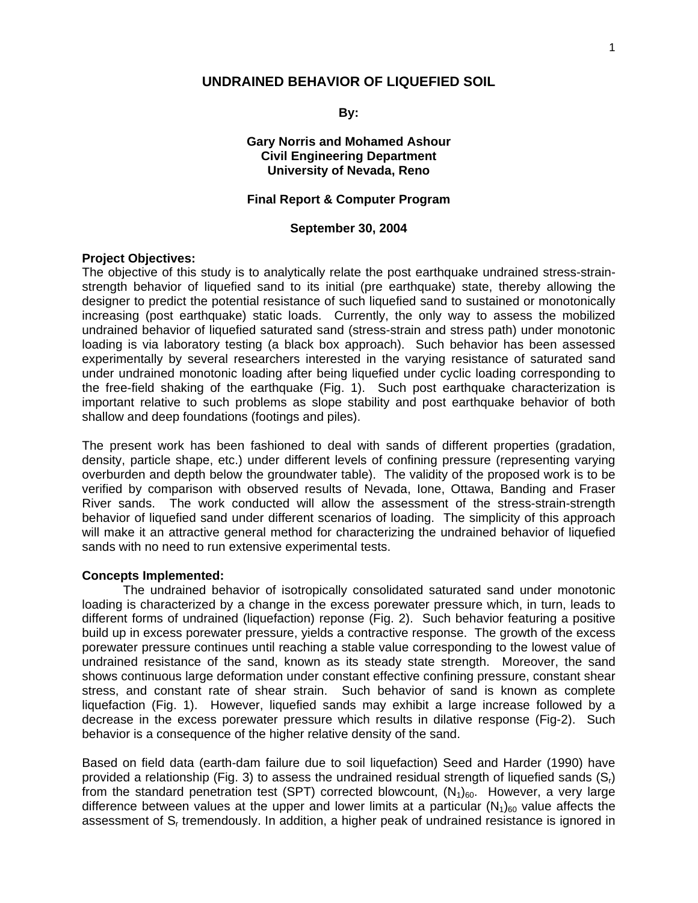# **UNDRAINED BEHAVIOR OF LIQUEFIED SOIL**

# **By:**

## **Gary Norris and Mohamed Ashour Civil Engineering Department University of Nevada, Reno**

#### **Final Report & Computer Program**

### **September 30, 2004**

### **Project Objectives:**

The objective of this study is to analytically relate the post earthquake undrained stress-strainstrength behavior of liquefied sand to its initial (pre earthquake) state, thereby allowing the designer to predict the potential resistance of such liquefied sand to sustained or monotonically increasing (post earthquake) static loads. Currently, the only way to assess the mobilized undrained behavior of liquefied saturated sand (stress-strain and stress path) under monotonic loading is via laboratory testing (a black box approach). Such behavior has been assessed experimentally by several researchers interested in the varying resistance of saturated sand under undrained monotonic loading after being liquefied under cyclic loading corresponding to the free-field shaking of the earthquake (Fig. 1). Such post earthquake characterization is important relative to such problems as slope stability and post earthquake behavior of both shallow and deep foundations (footings and piles).

The present work has been fashioned to deal with sands of different properties (gradation, density, particle shape, etc.) under different levels of confining pressure (representing varying overburden and depth below the groundwater table). The validity of the proposed work is to be verified by comparison with observed results of Nevada, Ione, Ottawa, Banding and Fraser River sands. The work conducted will allow the assessment of the stress-strain-strength behavior of liquefied sand under different scenarios of loading. The simplicity of this approach will make it an attractive general method for characterizing the undrained behavior of liquefied sands with no need to run extensive experimental tests.

#### **Concepts Implemented:**

The undrained behavior of isotropically consolidated saturated sand under monotonic loading is characterized by a change in the excess porewater pressure which, in turn, leads to different forms of undrained (liquefaction) reponse (Fig. 2). Such behavior featuring a positive build up in excess porewater pressure, yields a contractive response. The growth of the excess porewater pressure continues until reaching a stable value corresponding to the lowest value of undrained resistance of the sand, known as its steady state strength. Moreover, the sand shows continuous large deformation under constant effective confining pressure, constant shear stress, and constant rate of shear strain. Such behavior of sand is known as complete liquefaction (Fig. 1). However, liquefied sands may exhibit a large increase followed by a decrease in the excess porewater pressure which results in dilative response (Fig-2). Such behavior is a consequence of the higher relative density of the sand.

Based on field data (earth-dam failure due to soil liquefaction) Seed and Harder (1990) have provided a relationship (Fig. 3) to assess the undrained residual strength of liquefied sands  $(S<sub>r</sub>)$ from the standard penetration test (SPT) corrected blowcount,  $(N_1)_{60}$ . However, a very large difference between values at the upper and lower limits at a particular  $(N_1)_{60}$  value affects the assessment of  $S<sub>r</sub>$  tremendously. In addition, a higher peak of undrained resistance is ignored in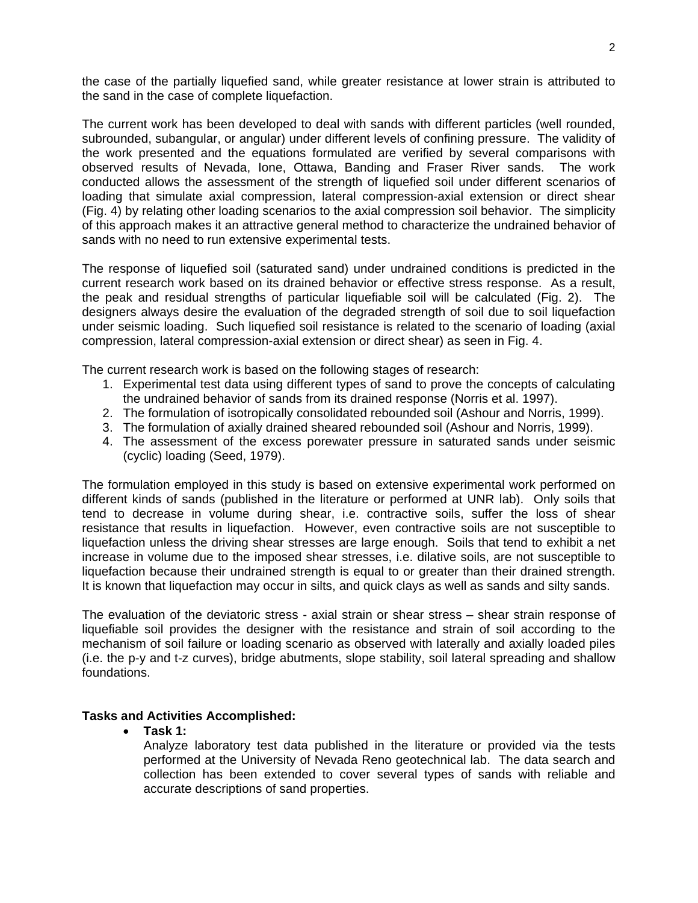the case of the partially liquefied sand, while greater resistance at lower strain is attributed to the sand in the case of complete liquefaction.

The current work has been developed to deal with sands with different particles (well rounded, subrounded, subangular, or angular) under different levels of confining pressure. The validity of the work presented and the equations formulated are verified by several comparisons with observed results of Nevada, Ione, Ottawa, Banding and Fraser River sands. The work conducted allows the assessment of the strength of liquefied soil under different scenarios of loading that simulate axial compression, lateral compression-axial extension or direct shear (Fig. 4) by relating other loading scenarios to the axial compression soil behavior. The simplicity of this approach makes it an attractive general method to characterize the undrained behavior of sands with no need to run extensive experimental tests.

The response of liquefied soil (saturated sand) under undrained conditions is predicted in the current research work based on its drained behavior or effective stress response. As a result, the peak and residual strengths of particular liquefiable soil will be calculated (Fig. 2). The designers always desire the evaluation of the degraded strength of soil due to soil liquefaction under seismic loading. Such liquefied soil resistance is related to the scenario of loading (axial compression, lateral compression-axial extension or direct shear) as seen in Fig. 4.

The current research work is based on the following stages of research:

- 1. Experimental test data using different types of sand to prove the concepts of calculating the undrained behavior of sands from its drained response (Norris et al. 1997).
- 2. The formulation of isotropically consolidated rebounded soil (Ashour and Norris, 1999).
- 3. The formulation of axially drained sheared rebounded soil (Ashour and Norris, 1999).
- 4. The assessment of the excess porewater pressure in saturated sands under seismic (cyclic) loading (Seed, 1979).

The formulation employed in this study is based on extensive experimental work performed on different kinds of sands (published in the literature or performed at UNR lab). Only soils that tend to decrease in volume during shear, i.e. contractive soils, suffer the loss of shear resistance that results in liquefaction. However, even contractive soils are not susceptible to liquefaction unless the driving shear stresses are large enough. Soils that tend to exhibit a net increase in volume due to the imposed shear stresses, i.e. dilative soils, are not susceptible to liquefaction because their undrained strength is equal to or greater than their drained strength. It is known that liquefaction may occur in silts, and quick clays as well as sands and silty sands.

The evaluation of the deviatoric stress - axial strain or shear stress – shear strain response of liquefiable soil provides the designer with the resistance and strain of soil according to the mechanism of soil failure or loading scenario as observed with laterally and axially loaded piles (i.e. the p-y and t-z curves), bridge abutments, slope stability, soil lateral spreading and shallow foundations.

# **Tasks and Activities Accomplished:**

• **Task 1:** 

Analyze laboratory test data published in the literature or provided via the tests performed at the University of Nevada Reno geotechnical lab. The data search and collection has been extended to cover several types of sands with reliable and accurate descriptions of sand properties.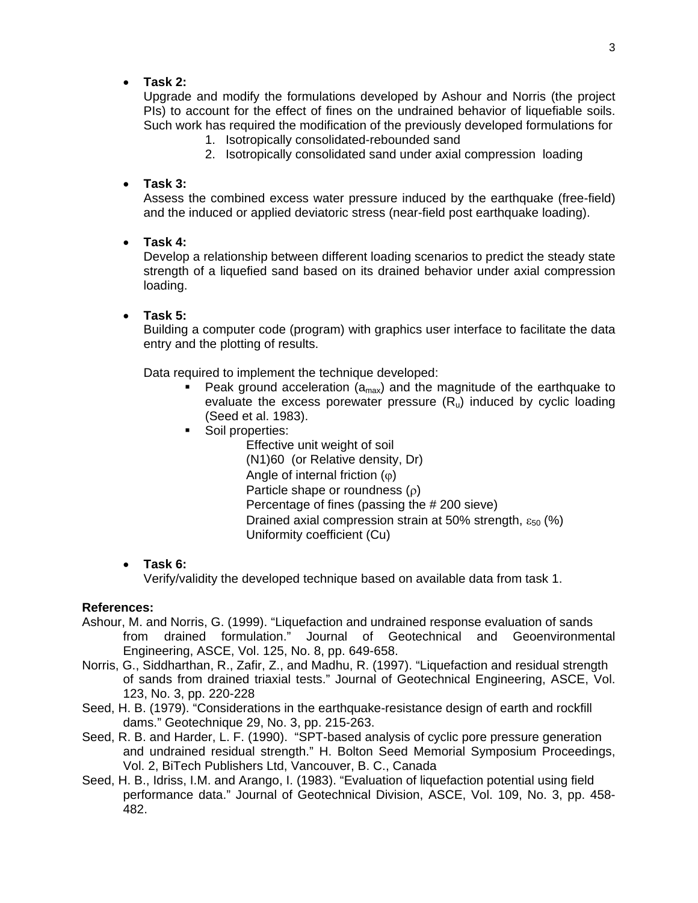• **Task 2:** 

Upgrade and modify the formulations developed by Ashour and Norris (the project PIs) to account for the effect of fines on the undrained behavior of liquefiable soils. Such work has required the modification of the previously developed formulations for

- 1. Isotropically consolidated-rebounded sand
- 2. Isotropically consolidated sand under axial compression loading

# • **Task 3:**

Assess the combined excess water pressure induced by the earthquake (free-field) and the induced or applied deviatoric stress (near-field post earthquake loading).

• **Task 4:** 

Develop a relationship between different loading scenarios to predict the steady state strength of a liquefied sand based on its drained behavior under axial compression loading.

• **Task 5:** 

Building a computer code (program) with graphics user interface to facilitate the data entry and the plotting of results.

Data required to implement the technique developed:

- Peak ground acceleration ( $a<sub>max</sub>$ ) and the magnitude of the earthquake to evaluate the excess porewater pressure  $(R<sub>u</sub>)$  induced by cyclic loading (Seed et al. 1983).
- Soil properties:

 Effective unit weight of soil (N1)60 (or Relative density, Dr) Angle of internal friction  $(\varphi)$  Particle shape or roundness (ρ) Percentage of fines (passing the # 200 sieve) Drained axial compression strain at 50% strength,  $\varepsilon_{50}$  (%) Uniformity coefficient (Cu)

• **Task 6:** 

Verify/validity the developed technique based on available data from task 1.

## **References:**

- Ashour, M. and Norris, G. (1999). "Liquefaction and undrained response evaluation of sands from drained formulation." Journal of Geotechnical and Geoenvironmental Engineering, ASCE, Vol. 125, No. 8, pp. 649-658.
- Norris, G., Siddharthan, R., Zafir, Z., and Madhu, R. (1997). "Liquefaction and residual strength of sands from drained triaxial tests." Journal of Geotechnical Engineering, ASCE, Vol. 123, No. 3, pp. 220-228
- Seed, H. B. (1979). "Considerations in the earthquake-resistance design of earth and rockfill dams." Geotechnique 29, No. 3, pp. 215-263.
- Seed, R. B. and Harder, L. F. (1990). "SPT-based analysis of cyclic pore pressure generation and undrained residual strength." H. Bolton Seed Memorial Symposium Proceedings, Vol. 2, BiTech Publishers Ltd, Vancouver, B. C., Canada
- Seed, H. B., Idriss, I.M. and Arango, I. (1983). "Evaluation of liquefaction potential using field performance data." Journal of Geotechnical Division, ASCE, Vol. 109, No. 3, pp. 458- 482.